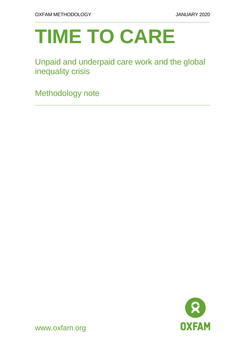# **TIME TO CARE**

# Unpaid and underpaid care work and the global inequality crisis

Methodology note



www.oxfam.org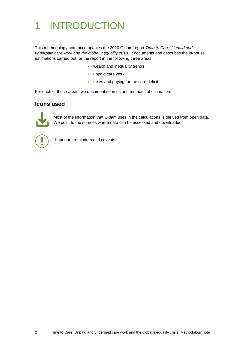# 1 INTRODUCTION

This methodology note accompanies the 2020 Oxfam report *Time to Care: Unpaid and underpaid care work and the global inequality crisis.* It documents and describes the in-house estimations carried out for the report in the following three areas:

- wealth and inequality trends
- unpaid care work
- taxes and paying for the care deficit.

For each of these areas, we document sources and methods of estimation.

## **Icons used**



Most of the information that Oxfam uses in the calculations is derived from open data. We point to the sources where data can be accessed and downloaded.



Important reminders and caveats.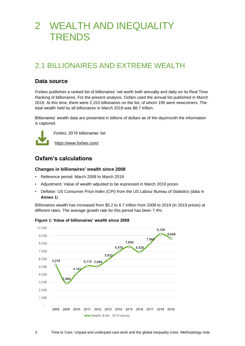# 2 WEALTH AND INEQUALITY **TRENDS**

# 2.1 BILLIONAIRES AND EXTREME WEALTH

## **Data source**

*Forbes* publishes a ranked list of billionaires' net worth both annually and daily on its Real Time Ranking of billionaires. For the present analysis, Oxfam used the annual list published in March 2019. At this time, there were 2,153 billionaires on the list, of whom 195 were newcomers. The total wealth held by all billionaires in March 2019 was \$8.7 trillion.

Billionaires' wealth data are presented in billions of dollars as of the day/month the information is captured.



*Forbes*, 2019 billionaires' list

<https://www.forbes.com/>

## **Oxfam's calculations**

#### **Changes in billionaires' wealth since 2008**

- Reference period: March 2008 to March 2019
- Adjustment: Value of wealth adjusted to be expressed in March 2019 prices
- Deflator: US Consumer Price Index (CPI) from the US Labour Bureau of Statistics (data in **Annex 1**)

Billionaires wealth has increased from \$5.2 to 8.7 trillion from 2008 to 2019 (in 2019 prices) at different rates. The average growth rate for this period has been 7.4%.



**Figure 1: Value of billionaires' wealth since 2008**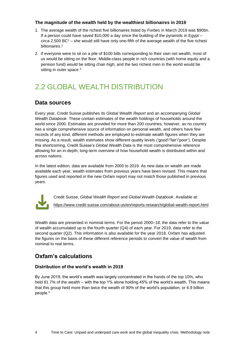#### **The magnitude of the wealth held by the wealthiest billionaires in 2019**

- 1. The average wealth of the richest five billionaires listed by *Forbes* in March 2019 was \$90bn. If a person could have saved  $$10,000$  a day since the building of the pyramids in Egypt – circa 2,500 BC<sup>1</sup> – she would still have only one-fifth of the average wealth of the five richest billionaires. 2
- 2. If everyone were to sit on a pile of \$100 bills corresponding to their own net wealth, most of us would be sitting on the floor. Middle-class people in rich countries (with home equity and a pension fund) would be sitting chair-high, and the two richest men in the world would be sitting in outer space.<sup>3</sup>

# 2.2 GLOBAL WEALTH DISTRIBUTION

## **Data sources**

Every year, Credit Suisse publishes its *Global Wealth Report* and an accompanying *Global Wealth Databook*. These contain estimates of the wealth holdings of households around the world since 2000. Estimates are provided for more than 200 countries; however, as no country has a single comprehensive source of information on personal wealth, and others have few records of any kind, different methods are employed to estimate wealth figures when they are missing. As a result, wealth estimates show different quality levels ('good'/'fair'/'poor'). Despite this shortcoming, Credit Suisse's *Global Wealth Data* is the most comprehensive reference allowing for an in-depth, long-term overview of how household wealth is distributed within and across nations.

In the latest edition, data are available from 2000 to 2019. As new data on wealth are made available each year, wealth estimates from previous years have been revised. This means that figures used and reported in the new Oxfam report may not match those published in previous years.



Credit Suisse, *Global Wealth Report* and *Global Wealth Databook*. Available at: <https://www.credit-suisse.com/about-us/en/reports-research/global-wealth-report.html>

Wealth data are presented in nominal terms. For the period 2000–18, the data refer to the value of wealth accumulated up to the fourth quarter (Q4) of each year. For 2019, data refer to the second quarter (Q2). This information is also available for the year 2018. Oxfam has adjusted the figures on the basis of these different reference periods to convert the value of wealth from nominal to real terms.

## **Oxfam's calculations**

#### **Distribution of the world's wealth in 2019**

By June 2019, the world's wealth was largely concentrated in the hands of the top 10%, who held 81.7% of the wealth – with the top 1% alone holding 45% of the world's wealth. This means that this group held more than twice the wealth of 90% of the world's population, or 6.9 billion people.4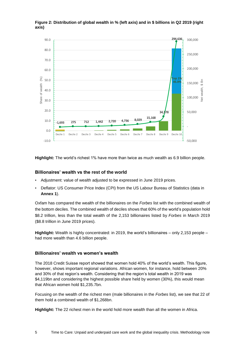

#### **Figure 2: Distribution of global wealth in % (left axis) and in \$ billions in Q2 2019 (right axis)**

**Highlight:** The world's richest 1% have more than twice as much wealth as 6.9 billion people.

#### **Billionaires' wealth vs the rest of the world**

- Adjustment: value of wealth adjusted to be expressed in June 2019 prices.
- Deflator: US Consumer Price Index (CPI) from the US Labour Bureau of Statistics (data in **Annex 1**).

Oxfam has compared the wealth of the billionaires on the *Forbes* list with the combined wealth of the bottom deciles. The combined wealth of deciles shows that 60% of the world's population hold \$8.2 trillion, less than the total wealth of the 2,153 billionaires listed by *Forbes* in March 2019 (\$8.8 trillion in June 2019 prices).

**Highlight:** Wealth is highly concentrated: in 2019, the world's billionaires – only 2,153 people – had more wealth than 4.6 billion people.

#### **Billionaires' wealth vs women's wealth**

The 2018 Credit Suisse report showed that women hold 40% of the world's wealth. This figure, however, shows important regional variations. African women, for instance, hold between 20% and 30% of that region's wealth. Considering that the region's total wealth in 2019 was \$4,119bn and considering the highest possible share held by women (30%), this would mean that African women hold \$1,235.7bn.

Focusing on the wealth of the richest men (male billionaires in the *Forbes* list), we see that 22 of them hold a combined wealth of \$1,268bn.

**Highlight:** The 22 richest men in the world hold more wealth than all the women in Africa.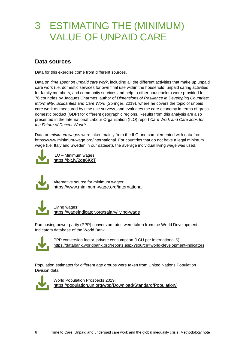# 3 ESTIMATING THE (MINIMUM) VALUE OF UNPAID CARE

## **Data sources**

Data for this exercise come from different sources.

Data on *time spent on unpaid care work*, including all the different activities that make up unpaid care work (i.e. domestic services for own final use within the household, unpaid caring activities for family members, and community services and help to other households) were provided for 76 countries by Jacques Charmes, author of *Dimensions of Resilience in Developing Countries: Informality, Solidarities and Care Work* (Springer, 2019), where he covers the topic of unpaid care work as measured by time use surveys, and evaluates the care economy in terms of gross domestic product (GDP) for different geographic regions. Results from this analysis are also presented in the International Labour Organization (ILO) report *Care Work and Care Jobs for the Future of Decent Work*. 5

Data on *minimum wages* were taken mainly from the ILO and complemented with data from [https://www.minimum-wage.org/international.](https://www.minimum-wage.org/international) For countries that do not have a legal minimum wage (i.e. Italy and Sweden in our dataset), the average individual living wage was used.



ILO – Minimum wages: <https://bit.ly/2qe6KkT>



Alternative source for minimum wages: <https://www.minimum-wage.org/international>



Living wages: <https://wageindicator.org/salary/living-wage>

Purchasing power parity (PPP) conversion rates were taken from the World Development Indicators database of the World Bank.



PPP conversion factor, private consumption (LCU per international \$): <https://databank.worldbank.org/reports.aspx?source=world-development-indicators>

Population estimates for different age groups were taken from United Nations Population Division data.



World Population Prospects 2019: <https://population.un.org/wpp/Download/Standard/Population/>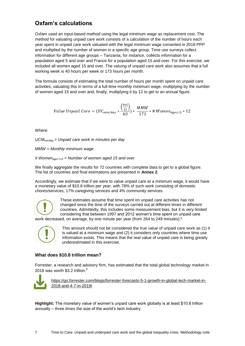## **Oxfam's calculations**

Oxfam used an input-based method using the legal minimum wage as replacement cost. The method for valuating unpaid care work consists of a calculation of the number of hours each year spent in unpaid care work valuated with the legal minimum wage converted in 2018 PPP and multiplied by the number of women in a specific age group. Time use surveys collect information for different age groups – Tanzania, for instance, collects information for a population aged 5 and over and France for a population aged 15 and over. For this exercise, we included all women aged 15 and over. The valuing of unpaid care work also assumes that a full working week is 40 hours per week or 173 hours per month.

The formula consists of estimating the total number of hours per month spent on unpaid care activities, valuating this in terms of a full-time monthly minimum wage, multiplying by the number of women aged 15 and over and, finally, multiplying it by 12 to get to an annual figure.

Value Unpaid Care = 
$$
(UC_{min/day} * \frac{\binom{365}{12}}{60}) * \frac{MMW}{173} * # WomenAge≥15 * 12
$$

Where:

*UCMmin/day = Unpaid care work in minutes per day*

*MMW = Monthly minimum wage*

*# Womenage>=15 = Number of women aged 15 and over*

We finally aggregate the results for 72 countries with complete data to get to a global figure. The list of countries and final estimations are presented in **Annex 2**.

Accordingly, we estimate that if we were to value unpaid care at a minimum wage, it would have a monetary value of \$10.8 trillion per year, with 78% of such work consisting of domestic chores/services, 17% caregiving services and 4% community services.



These estimates assume that time spent on unpaid care activities has not changed since the time of the surveys carried out at different times in different countries. Admittedly, this includes some measurement bias, but it is very limited considering that between 1997 and 2012 women's time spent on unpaid care

work decreased, on average, by one minute per year (from 264 to 249 minutes). 6



This amount should not be considered the true value of unpaid care work as (1) it is valued at a minimum wage and (2) it considers only countries where time use information exists. This means that the real value of unpaid care is being greatly underestimated in this exercise.

#### **What does \$10.8 trillion mean?**

Forrester, a research and advisory firm, has estimated that the total global technology market in 2018 was worth \$3.2 trillion.**<sup>7</sup>**



[https://go.forrester.com/blogs/forrester-forecasts-5-1-growth-in-global-tech-market-in-](https://go.forrester.com/blogs/forrester-forecasts-5-1-growth-in-global-tech-market-in-2018-and-4-7-in-2019/)[2018-and-4-7-in-2019/](https://go.forrester.com/blogs/forrester-forecasts-5-1-growth-in-global-tech-market-in-2018-and-4-7-in-2019/)

**Highlight:** The monetary value of women's unpaid care work globally is at least \$10.8 trillion annually – three times the size of the world's tech industry.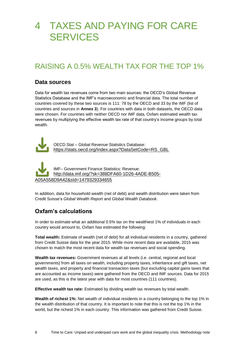# 4 TAXES AND PAYING FOR CARE **SERVICES**

# RAISING A 0.5% WEALTH TAX FOR THE TOP 1%

#### **Data sources**

Data for wealth tax revenues come from two main sources: the OECD's Global Revenue Statistics Database and the IMF's macroeconomic and financial data. The total number of countries covered by these two sources is 111: 78 by the OECD and 33 by the IMF (list of countries and sources in **Annex 3**). For countries with data in both datasets, the OECD data were chosen. For countries with neither OECD nor IMF data, Oxfam estimated wealth tax revenues by multiplying the effective wealth tax rate of that country's income groups by total wealth.



OECD.Stat – Global Revenue Statistics Database: [https://stats.oecd.org/Index.aspx?DataSetCode=RS\\_GBL](https://stats.oecd.org/Index.aspx?DataSetCode=RS_GBL)

IMF– Government Finance Statistics: Revenue: [http://data.imf.org/?sk=388DFA60-1D26-4ADE-B505-](http://data.imf.org/?sk=388DFA60-1D26-4ADE-B505-A05A558D9A42&sId=1479329334655) [A05A558D9A42&sId=1479329334655](http://data.imf.org/?sk=388DFA60-1D26-4ADE-B505-A05A558D9A42&sId=1479329334655)

In addition, data for household wealth (net of debt) and wealth distribution were taken from Credit Suisse's *Global Wealth Report* and *Global Wealth Databook*.

## **Oxfam's calculations**

In order to estimate what an additional 0.5% tax on the wealthiest 1% of individuals in each country would amount to, Oxfam has estimated the following:

**Total wealth:** Estimate of wealth (net of debt) for all individual residents in a country, gathered from Credit Suisse data for the year 2015. While more recent data are available, 2015 was chosen to match the most recent data for wealth tax revenues and social spending.

**Wealth tax revenues:** Government revenues at all levels (i.e. central, regional and local governments) from all taxes on wealth, including property taxes, inheritance and gift taxes, net wealth taxes, and property and financial transaction taxes (but excluding capital gains taxes that are accounted as income taxes) were gathered from the OECD and IMF sources. Data for 2015 are used, as this is the latest year with data for most countries (111 countries).

**Effective wealth tax rate:** Estimated by dividing wealth tax revenues by total wealth.

**Wealth of richest 1%:** Net wealth of individual residents in a country belonging to the top 1% in the wealth distribution of that country. It is important to note that this is not the top 1% in the world, but the richest 1% in each country. This information was gathered from Credit Suisse.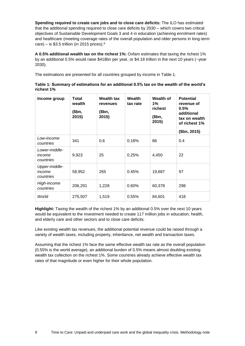**Spending required to create care jobs and to close care deficits:** The ILO has estimated that the additional spending required to close care deficits by 2030 – which covers two critical objectives of Sustainable Development Goals 3 and 4 in education (achieving enrolment rates) and healthcare (meeting coverage rates of the overall population and older persons in long-term care) – is \$3.5 trillion (in 2015 prices). $8$ 

**A 0.5% additional wealth tax on the richest 1%:** Oxfam estimates that taxing the richest 1% by an additional 0.5% would raise \$418bn per year, or \$4.18 trillion in the next 10 years (~year 2030).

The estimations are presented for all countries grouped by income in [Table 1.](#page-8-0)

| Income group                         | Total<br>wealth<br>\$bn,<br>2015) | <b>Wealth tax</b><br>revenues<br>(\$bn,<br>2015) | <b>Wealth</b><br>tax rate | Wealth of<br>$1\%$<br>richest<br>(\$bn,<br>2015) | <b>Potential</b><br>revenue of<br>0.5%<br>additional<br>tax on wealth<br>of richest 1%<br>\$bn, 2015) |
|--------------------------------------|-----------------------------------|--------------------------------------------------|---------------------------|--------------------------------------------------|-------------------------------------------------------------------------------------------------------|
| Low-income<br>countries              | 341                               | 0.6                                              | 0.18%                     | 86                                               | 0.4                                                                                                   |
| Lower-middle-<br>income<br>countries | 9,923                             | 25                                               | 0.25%                     | 4,450                                            | 22                                                                                                    |
| Upper-middle-<br>income<br>countries | 58,952                            | 265                                              | 0.45%                     | 19,687                                           | 97                                                                                                    |
| High-income<br>countries             | 206,291                           | 1,228                                            | 0.60%                     | 60,378                                           | 298                                                                                                   |
| World                                | 275,507                           | 1,519                                            | 0.55%                     | 84,601                                           | 418                                                                                                   |

<span id="page-8-0"></span>**Table 1: Summary of estimations for an additional 0.5% tax on the wealth of the world's richest 1%**

**Highlight:** Taxing the wealth of the richest 1% by an additional 0.5% over the next 10 years would be equivalent to the investment needed to create 117 million jobs in education, health, and elderly care and other sectors and to close care deficits.

Like existing wealth tax revenues, the additional potential revenue could be raised through a variety of wealth taxes, including property, inheritance, net wealth and transaction taxes.

Assuming that the richest 1% face the same effective wealth tax rate as the overall population (0.55% is the world average), an additional burden of 0.5% means almost doubling existing wealth tax collection on the richest 1%. Some countries already achieve effective wealth tax rates of that magnitude or even higher for their whole population.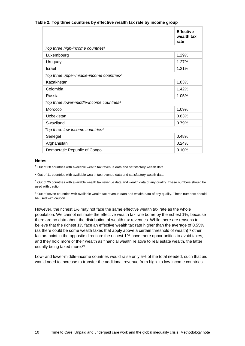#### **Table 2: Top three countries by effective wealth tax rate by income group**

|                                                      | <b>Effective</b><br>wealth tax<br>rate |
|------------------------------------------------------|----------------------------------------|
| Top three high-income countries <sup>1</sup>         |                                        |
| Luxembourg                                           | 1.29%                                  |
| Uruguay                                              | 1.27%                                  |
| Israel                                               | 1.21%                                  |
| Top three upper-middle-income countries <sup>2</sup> |                                        |
| Kazakhstan                                           | 1.83%                                  |
| Colombia                                             | 1.42%                                  |
| Russia                                               | 1.05%                                  |
| Top three lower-middle-income countries <sup>3</sup> |                                        |
| Morocco                                              | 1.09%                                  |
| Uzbekistan                                           | 0.83%                                  |
| Swaziland                                            | 0.79%                                  |
| Top three low-income countries <sup>4</sup>          |                                        |
| Senegal                                              | 0.48%                                  |
| Afghanistan                                          | 0.24%                                  |
| Democratic Republic of Congo                         | 0.10%                                  |

#### **Notes:**

 $1$  Out of 38 countries with available wealth tax revenue data and satisfactory wealth data.

<sup>2</sup> Out of 11 countries with available wealth tax revenue data and satisfactory wealth data.

 $3$  Out of 25 countries with available wealth tax revenue data and wealth data of any quality. These numbers should be used with caution.

<sup>4</sup> Out of seven countries with available wealth tax revenue data and wealth data of any quality. These numbers should be used with caution.

However, the richest 1% may not face the same effective wealth tax rate as the whole population. We cannot estimate the effective wealth tax rate borne by the richest 1%, because there are no data about the distribution of wealth tax revenues. While there are reasons to believe that the richest 1% face an effective wealth tax rate higher than the average of 0.55% (as there could be some wealth taxes that apply above a certain threshold of wealth),  $9$  other factors point in the opposite direction: the richest 1% have more opportunities to avoid taxes, and they hold more of their wealth as financial wealth relative to real estate wealth, the latter usually being taxed more.<sup>10</sup>

Low- and lower-middle-income countries would raise only 5% of the total needed, such that aid would need to increase to transfer the additional revenue from high- to low-income countries.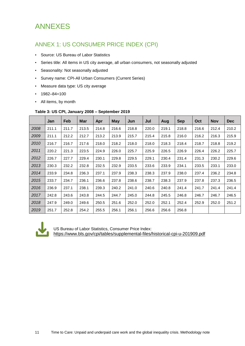# ANNEXES

# ANNEX 1: US CONSUMER PRICE INDEX (CPI)

- Source: US Bureau of Labor Statistics
- Series title: All items in US city average, all urban consumers, not seasonally adjusted
- Seasonality: Not seasonally adjusted
- Survey name: CPI-All Urban Consumers (Current Series)
- Measure data type: US city average
- $\cdot$  1982–84=100
- All items, by month

#### **Table 3: US CPI, January 2008 – September 2019**

|      | Jan   | Feb   | <b>Mar</b> | Apr   | <b>May</b> | Jun   | Jul   | Aug   | <b>Sep</b> | Oct   | <b>Nov</b> | <b>Dec</b> |
|------|-------|-------|------------|-------|------------|-------|-------|-------|------------|-------|------------|------------|
| 2008 | 211.1 | 211.7 | 213.5      | 214.8 | 216.6      | 218.8 | 220.0 | 219.1 | 218.8      | 216.6 | 212.4      | 210.2      |
| 2009 | 211.1 | 212.2 | 212.7      | 213.2 | 213.9      | 215.7 | 215.4 | 215.8 | 216.0      | 216.2 | 216.3      | 215.9      |
| 2010 | 216.7 | 216.7 | 217.6      | 218.0 | 218.2      | 218.0 | 218.0 | 218.3 | 218.4      | 218.7 | 218.8      | 219.2      |
| 2011 | 220.2 | 221.3 | 223.5      | 224.9 | 226.0      | 225.7 | 225.9 | 226.5 | 226.9      | 226.4 | 226.2      | 225.7      |
| 2012 | 226.7 | 227.7 | 229.4      | 230.1 | 229.8      | 229.5 | 229.1 | 230.4 | 231.4      | 231.3 | 230.2      | 229.6      |
| 2013 | 230.3 | 232.2 | 232.8      | 232.5 | 232.9      | 233.5 | 233.6 | 233.9 | 234.1      | 233.5 | 233.1      | 233.0      |
| 2014 | 233.9 | 234.8 | 236.3      | 237.1 | 237.9      | 238.3 | 238.3 | 237.9 | 238.0      | 237.4 | 236.2      | 234.8      |
| 2015 | 233.7 | 234.7 | 236.1      | 236.6 | 237.8      | 238.6 | 238.7 | 238.3 | 237.9      | 237.8 | 237.3      | 236.5      |
| 2016 | 236.9 | 237.1 | 238.1      | 239.3 | 240.2      | 241.0 | 240.6 | 240.8 | 241.4      | 241.7 | 241.4      | 241.4      |
| 2017 | 242.8 | 243.6 | 243.8      | 244.5 | 244.7      | 245.0 | 244.8 | 245.5 | 246.8      | 246.7 | 246.7      | 246.5      |
| 2018 | 247.9 | 249.0 | 249.6      | 250.5 | 251.6      | 252.0 | 252.0 | 252.1 | 252.4      | 252.9 | 252.0      | 251.2      |
| 2019 | 251.7 | 252.8 | 254.2      | 255.5 | 256.1      | 256.1 | 256.6 | 256.6 | 256.8      |       |            |            |



US Bureau of Labor Statistics, Consumer Price Index:

<https://www.bls.gov/cpi/tables/supplemental-files/historical-cpi-u-201909.pdf>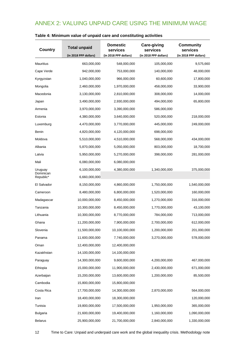# ANNEX 2: VALUING UNPAID CARE USING THE MINIMUM WAGE

| <b>Country</b>         | <b>Total unpaid</b>   | <b>Domestic</b><br>services | <b>Care-giving</b><br>services | <b>Community</b><br>services |
|------------------------|-----------------------|-----------------------------|--------------------------------|------------------------------|
|                        | (in 2018 PPP dollars) | (in 2018 PPP dollars)       | (in 2018 PPP dollars)          | (in 2018 PPP dollars)        |
| <b>Mauritius</b>       | 663,000,000           | 548,000,000                 | 105,000,000                    | 9,575,660                    |
| Cape Verde             | 942,000,000           | 753,000,000                 | 140,000,000                    | 48,000,000                   |
| Kyrgyzstan             | 1,040,000,000         | 966,000,000                 | 60,600,000                     | 17,800,000                   |
| Mongolia               | 2,460,000,000         | 1,970,000,000               | 458,000,000                    | 33,900,000                   |
| Macedonia              | 3,130,000,000         | 2,810,000,000               | 308,000,000                    | 14,000,000                   |
| Japan                  | 3,490,000,000         | 2,930,000,000               | 494,000,000                    | 65,800,000                   |
| Armenia                | 3,970,000,000         | 3,390,000,000               | 586,000,000                    |                              |
| Estonia                | 4,380,000,000         | 3,640,000,000               | 520,000,000                    | 218,000,000                  |
| Luxemburg              | 4,470,000,000         | 3,770,000,000               | 445,000,000                    | 249,000,000                  |
| Benin                  | 4,820,000,000         | 4,120,000,000               | 698,000,000                    |                              |
| Moldova                | 5,510,000,000         | 4,510,000,000               | 568,000,000                    | 434,000,000                  |
| Albania                | 5,870,000,000         | 5,050,000,000               | 803,000,000                    | 18,700,000                   |
| Latvia                 | 5,950,000,000         | 5,270,000,000               | 398,000,000                    | 281,000,000                  |
| Mali                   | 6,080,000,000         | 6,080,000,000               |                                |                              |
| Uruguay                | 6,100,000,000         | 4,380,000,000               | 1,340,000,000                  | 375,000,000                  |
| Dominican<br>Republic* | 6,660,000,000         |                             |                                |                              |
| El Salvador            | 8,150,000,000         | 4,860,000,000               | 1,750,000,000                  | 1,540,000,000                |
| Cameroon               | 8,480,000,000         | 6,800,000,000               | 1,520,000,000                  | 160,000,000                  |
| Madagascar             | 10,000,000,000        | 8,450,000,000               | 1,270,000,000                  | 316,000,000                  |
| Tanzania               | 10,300,000,000        | 8,450,000,000               | 1,770,000,000                  | 43,100,000                   |
| Lithuania              | 10,300,000,000        | 8,770,000,000               | 784,000,000                    | 713,000,000                  |
| Ghana                  | 11,200,000,000        | 7,900,000,000               | 2,700,000,000                  | 612,000,000                  |
| Slovenia               | 11,500,000,000        | 10,100,000,000              | 1,200,000,000                  | 201,000,000                  |
| Panama                 | 11,600,000,000        | 7,740,000,000               | 3,270,000,000                  | 578,000,000                  |
| Oman                   | 12,400,000,000        | 12,400,000,000              |                                |                              |
| Kazakhstan             | 14,100,000,000        | 14,100,000,000              |                                |                              |
| Paraguay               | 14,300,000,000        | 9,600,000,000               | 4,200,000,000                  | 467,000,000                  |
| Ethiopia               | 15,000,000,000        | 11,900,000,000              | 2,430,000,000                  | 671,000,000                  |
| Azerbaijan             | 15,200,000,000        | 13,600,000,000              | 1,200,000,000                  | 85,500,000                   |
| Cambodia               | 15,800,000,000        | 15,800,000,000              |                                |                              |
| Costa Rica             | 17,700,000,000        | 14,300,000,000              | 2,870,000,000                  | 564,000,000                  |
| Iran                   | 18,400,000,000        | 18,300,000,000              |                                | 120,000,000                  |
| Tunisia                | 19,800,000,000        | 17,500,000,000              | 1,950,000,000                  | 365,000,000                  |
| <b>Bulgaria</b>        | 21,600,000,000        | 19,400,000,000              | 1,160,000,000                  | 1,090,000,000                |
| <b>Belarus</b>         | 25,900,000,000        | 21,700,000,000              | 2,840,000,000                  | 1,330,000,000                |

## **Table 4: Minimum value of unpaid care and constituting activities**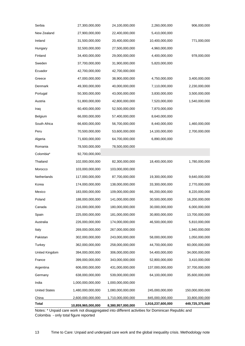| <b>Total</b>         | 10,859,965,000,000 | 8,380,957,000,000 | 1,916,237,600,000 | 449,725,375,660 |
|----------------------|--------------------|-------------------|-------------------|-----------------|
| China                | 2,600,000,000,000  | 1,710,000,000,000 | 845,000,000,000   | 33,800,000,000  |
| <b>United States</b> | 1,480,000,000,000  | 1,080,000,000,000 | 245,000,000,000   | 150,000,000,000 |
| India                | 1,000,000,000,000  | 1,000,000,000,000 |                   |                 |
| Germany              | 638,000,000,000    | 539,000,000,000   | 64,100,000,000    | 35,600,000,000  |
| Argentina            | 606,000,000,000    | 431,000,000,000   | 137,000,000,000   | 37,700,000,000  |
| France               | 399,000,000,000    | 343,000,000,000   | 52,800,000,000    | 3,410,000,000   |
| United Kingdom       | 394,000,000,000    | 306,000,000,000   | 54,400,000,000    | 34,000,000,000  |
| Turkey               | 362,000,000,000    | 258,000,000,000   | 44,700,000,000    | 60,000,000,000  |
| Pakistan             | 302,000,000,000    | 243,000,000,000   | 58,000,000,000    | 1,050,000,000   |
| Italy                | 269,000,000,000    | 267,000,000,000   |                   | 1,940,000,000   |
| Australia            | 226,000,000,000    | 174,000,000,000   | 46,500,000,000    | 5,810,000,000   |
| Spain                | 225,000,000,000    | 181,000,000,000   | 30,800,000,000    | 13,700,000,000  |
| Canada               | 216,000,000,000    | 180,000,000,000   | 30,000,000,000    | 6,000,000,000   |
| Poland               | 188,000,000,000    | 141,000,000,000   | 30,500,000,000    | 16,200,000,000  |
| Mexico               | 183,000,000,000    | 109,000,000,000   | 66,200,000,000    | 8,220,000,000   |
| Korea                | 174,000,000,000    | 138,000,000,000   | 33,300,000,000    | 2,770,000,000   |
| Netherlands          | 117,000,000,000    | 87,700,000,000    | 19,300,000,000    | 9,640,000,000   |
| Morocco              | 103,000,000,000    | 103,000,000,000   |                   |                 |
| Thailand             | 102,000,000,000    | 82,300,000,000    | 18,400,000,000    | 1,780,000,000   |
| Colombia*            | 92,700,000,000     |                   |                   |                 |
| Romania              | 78,500,000,000     | 78,500,000,000    |                   |                 |
| Algeria              | 71,600,000,000     | 64,700,000,000    | 6,890,000,000     |                 |
| Peru                 | 70,500,000,000     | 53,600,000,000    | 14,100,000,000    | 2,700,000,000   |
| South Africa         | 66,600,000,000     | 56,700,000,000    | 8,440,000,000     | 1,460,000,000   |
| Belgium              | 66,000,000,000     | 57,400,000,000    | 8,640,000,000     |                 |
| Iraq                 | 60,400,000,000     | 52,500,000,000    | 7,870,000,000     |                 |
| Austria              | 51,800,000,000     | 42,800,000,000    | 7,520,000,000     | 1,540,000,000   |
| Portugal             | 50,300,000,000     | 43,000,000,000    | 3,830,000,000     | 3,500,000,000   |
| Denmark              | 49,300,000,000     | 40,000,000,000    | 7,110,000,000     | 2,230,000,000   |
| Greece               | 47,000,000,000     | 38,900,000,000    | 4,750,000,000     | 3,400,000,000   |
| Ecuador              | 42,700,000,000     | 42,700,000,000    |                   |                 |
| Sweden               | 37,700,000,000     | 31,900,000,000    | 5,820,000,000     |                 |
| Finland              | 34,400,000,000     | 29,000,000,000    | 4,400,000,000     | 978,000,000     |
| Hungary              | 32,500,000,000     | 27,500,000,000    | 4,960,000,000     |                 |
| Ireland              | 31,500,000,000     | 20,400,000,000    | 10,400,000,000    | 771,000,000     |
| New Zealand          | 27,900,000,000     | 22,400,000,000    | 5,410,000,000     |                 |
| Serbia               | 27,300,000,000     | 24,100,000,000    | 2,260,000,000     | 906,000,000     |

Notes: \* Unpaid care work not disaggregated into different activities for Dominican Republic and Colombia - only total figure reported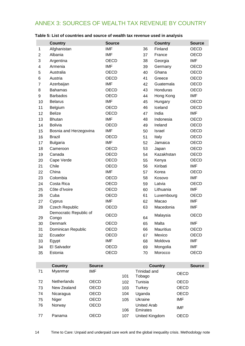# ANNEX 3: SOURCES OF WEALTH TAX REVENUE BY COUNTRY

|                | <b>Country</b>                  | <b>Source</b> |    | <b>Country</b>   | <b>Source</b> |
|----------------|---------------------------------|---------------|----|------------------|---------------|
| 1              | Afghanistan                     | <b>IMF</b>    | 36 | Finland          | OECD          |
| $\overline{2}$ | Albania                         | <b>IMF</b>    | 37 | France           | <b>OECD</b>   |
| 3              | Argentina                       | <b>OECD</b>   | 38 | Georgia          | <b>IMF</b>    |
| 4              | Armenia                         | <b>IMF</b>    | 39 | Germany          | <b>OECD</b>   |
| 5              | Australia                       | OECD          | 40 | Ghana            | OECD          |
| 6              | Austria                         | <b>OECD</b>   | 41 | Greece           | <b>OECD</b>   |
| $\overline{7}$ | Azerbaijan                      | <b>IMF</b>    | 42 | Guatemala        | <b>OECD</b>   |
| 8              | <b>Bahamas</b>                  | <b>OECD</b>   | 43 | Honduras         | <b>OECD</b>   |
| 9              | <b>Barbados</b>                 | <b>OECD</b>   | 44 | Hong Kong        | <b>IMF</b>    |
| 10             | <b>Belarus</b>                  | <b>IMF</b>    | 45 | Hungary          | <b>OECD</b>   |
| 11             | Belgium                         | <b>OECD</b>   | 46 | Iceland          | <b>OECD</b>   |
| 12             | <b>Belize</b>                   | <b>OECD</b>   | 47 | India            | <b>IMF</b>    |
| 13             | <b>Bhutan</b>                   | <b>IMF</b>    | 48 | Indonesia        | <b>OECD</b>   |
| 14             | <b>Bolivia</b>                  | <b>OECD</b>   | 49 | Ireland          | <b>OECD</b>   |
| 15             | Bosnia and Herzegovina          | <b>IMF</b>    | 50 | Israel           | <b>OECD</b>   |
| 16             | <b>Brazil</b>                   | <b>OECD</b>   | 51 | Italy            | <b>OECD</b>   |
| 17             | <b>Bulgaria</b>                 | <b>IMF</b>    | 52 | Jamaica          | <b>OECD</b>   |
| 18             | Cameroon                        | <b>OECD</b>   | 53 | Japan            | OECD          |
| 19             | Canada                          | OECD          | 54 | Kazakhstan       | <b>OECD</b>   |
| 20             | Cape Verde                      | <b>OECD</b>   | 55 | Kenya            | <b>OECD</b>   |
| 21             | Chile                           | <b>OECD</b>   | 56 | Kiribati         | <b>IMF</b>    |
| 22             | China                           | <b>IMF</b>    | 57 | Korea            | <b>OECD</b>   |
| 23             | Colombia                        | OECD          | 58 | Kosovo           | <b>IMF</b>    |
| 24             | Costa Rica                      | <b>OECD</b>   | 59 | Latvia           | <b>OECD</b>   |
| 25             | Côte d'Ivoire                   | <b>OECD</b>   | 60 | Lithuania        | <b>IMF</b>    |
| 26             | Cuba                            | <b>OECD</b>   | 61 | Luxembourg       | <b>OECD</b>   |
| 27             | Cyprus                          | <b>IMF</b>    | 62 | Macao            | <b>IMF</b>    |
| 28             | <b>Czech Republic</b>           | OECD          | 63 | Macedonia        | <b>IMF</b>    |
| 29             | Democratic Republic of<br>Congo | <b>OECD</b>   | 64 | Malaysia         | <b>OECD</b>   |
| 30             | Denmark                         | OECD          | 65 | Malta            | <b>IMF</b>    |
| 31             | Dominican Republic              | OECD          | 66 | <b>Mauritius</b> | OECD          |
| 32             | Ecuador                         | OECD          | 67 | Mexico           | OECD          |
| 33             | Egypt                           | <b>IMF</b>    | 68 | Moldova          | IMF           |
| 34             | El Salvador                     | <b>OECD</b>   | 69 | Mongolia         | <b>IMF</b>    |
| 35             | Estonia                         | OECD          | 70 | Morocco          | OECD          |

#### **Table 5: List of countries and source of wealth tax revenue used in analysis**

|    | <b>Country</b>     | <b>Source</b> |     | <b>Country</b> | <b>Source</b> |
|----|--------------------|---------------|-----|----------------|---------------|
| 71 | Myanmar            | <b>IMF</b>    |     | Trinidad and   | <b>OECD</b>   |
|    |                    |               | 101 | Tobago         |               |
| 72 | <b>Netherlands</b> | OECD          | 102 | Tunisia        | <b>OECD</b>   |
| 73 | New Zealand        | OECD          | 103 | Turkey         | <b>OECD</b>   |
| 74 | Nicaragua          | OECD          | 104 | Uganda         | <b>OECD</b>   |
| 75 | Niger              | OECD          | 105 | Ukraine        | IMF           |
| 76 | Norway             | OECD          |     | United Arab    | IMF           |
|    |                    |               | 106 | Emirates       |               |
| 77 | Panama             | OECD          | 107 | United Kingdom | OECD          |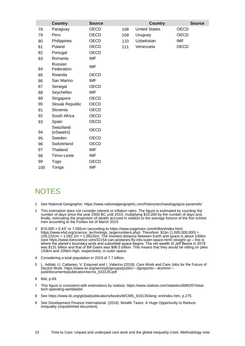|     | <b>Country</b>          | <b>Source</b> |     | <b>Country</b>       | <b>Source</b> |
|-----|-------------------------|---------------|-----|----------------------|---------------|
| 78  | Paraguay                | <b>OECD</b>   | 108 | <b>United States</b> | <b>OECD</b>   |
| 79  | Peru                    | OECD          | 109 | Uruguay              | <b>OECD</b>   |
| 80  | Philippines             | <b>OECD</b>   | 110 | Uzbekistan           | IMF           |
| 81  | Poland                  | <b>OECD</b>   | 111 | Venezuela            | <b>OECD</b>   |
| 82  | Portugal                | OECD          |     |                      |               |
| 83  | Romania                 | <b>IMF</b>    |     |                      |               |
| 84  | Russian<br>Federation   | <b>IMF</b>    |     |                      |               |
| 85  | Rwanda                  | <b>OECD</b>   |     |                      |               |
| 86  | San Marino              | <b>IMF</b>    |     |                      |               |
| 87  | Senegal                 | OECD          |     |                      |               |
| 88  | Seychelles              | <b>IMF</b>    |     |                      |               |
| 89  | Singapore               | OECD          |     |                      |               |
| 90  | Slovak Republic         | OECD          |     |                      |               |
| 91  | Slovenia                | OECD          |     |                      |               |
| 92  | South Africa            | OECD          |     |                      |               |
| 93  | Spain                   | <b>OECD</b>   |     |                      |               |
| 94  | Swaziland<br>(eSwatini) | <b>OECD</b>   |     |                      |               |
| 95  | Sweden                  | <b>OECD</b>   |     |                      |               |
| 96  | Switzerland             | OECD          |     |                      |               |
| 97  | Thailand                | IMF           |     |                      |               |
| 98  | Timor-Leste             | <b>IMF</b>    |     |                      |               |
| 99  | Togo                    | <b>OECD</b>   |     |                      |               |
| 100 | Tonga                   | <b>IMF</b>    |     |                      |               |

# **NOTES**

- See National Geographic:<https://www.nationalgeographic.com/history/archaeology/giza-pyramids/>
- This estimation does not consider interest or inflation rates. The figure is estimated by counting the number of days since the year 2500 BC until 2019, multiplying \$10,000 by the number of days and, finally, estimating the proportion of wealth accrued in relation to the average fortune of the five richest men according to the Forbes list of March 2019.
- \$10,000 = 0.43" or 1.092cm (according to [https://www.pagetutor.com/trillion/index.html;](https://www.pagetutor.com/trillion/index.html) [https://www.ehd.org/science\\_technology\\_largenumbers.php\)](https://www.ehd.org/science_technology_largenumbers.php). Therefore: \$1bn (1,000,000,000) = 109,222cm = 1,092.2m = 1.0922km. The shortest distance between Earth and space is about 100km (see [https://www.livescience.com/32154-can-airplanes-fly-into-outer-space.html\)](https://www.livescience.com/32154-can-airplanes-fly-into-outer-space.html) straight up – this is where the planet's boundary ends and suborbital space begins. The net wealth of Jeff Bezos in 2019 was \$131 billion and that of Bill Gates was \$96.5 billion. This means that they would be sitting on piles 143km and 105km high, respectively, in outer space.
- Considering a total population in 2019 of 7.7 billion.
- L. Addati, U. Cattaneo, V. Esquivel and I. Valarino (2018). Care Work and Care Jobs for the Future of Decent Work. [https://www.ilo.org/wcmsp5/groups/public/---dgreports/---dcomm/--](https://www.ilo.org/wcmsp5/groups/public/---dgreports/---dcomm/---publ/documents/publication/wcms_633135.pdf) [publ/documents/publication/wcms\\_633135.pdf](https://www.ilo.org/wcmsp5/groups/public/---dgreports/---dcomm/---publ/documents/publication/wcms_633135.pdf)
- Ibid, p.69.
- This figure is consistent with estimations by statista: [https://www.statista.com/statistics/886397/total](https://www.statista.com/statistics/886397/total-tech-spending-worldwide/)[tech-spending-worldwide/](https://www.statista.com/statistics/886397/total-tech-spending-worldwide/)
- See [https://www.ilo.org/global/publications/books/WCMS\\_633135/lang--en/index.htm,](https://www.ilo.org/global/publications/books/WCMS_633135/lang--en/index.htm) p.275.
- See Development Finance International. (2018). Wealth Taxes: A Huge Opportunity to Reduce Inequality (unpublished document).